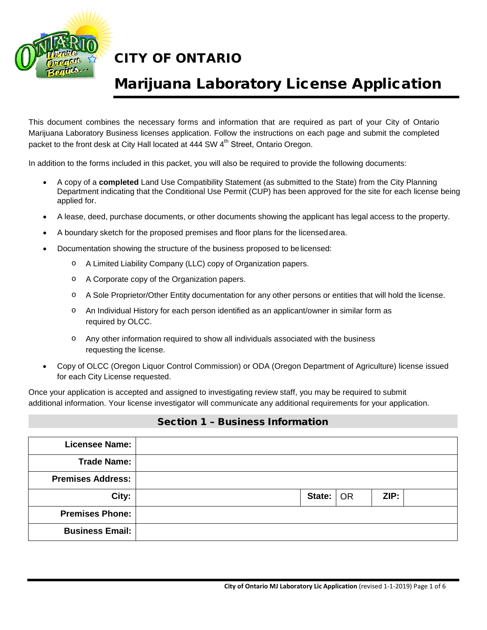

## Marijuana Laboratory License Application

This document combines the necessary forms and information that are required as part of your City of Ontario Marijuana Laboratory Business licenses application. Follow the instructions on each page and submit the completed packet to the front desk at City Hall located at 444 SW 4<sup>th</sup> Street, Ontario Oregon.

In addition to the forms included in this packet, you will also be required to provide the following documents:

- A copy of a **completed** Land Use Compatibility Statement (as submitted to the State) from the City Planning Department indicating that the Conditional Use Permit (CUP) has been approved for the site for each license being applied for.
- A lease, deed, purchase documents, or other documents showing the applicant has legal access to the property.
- A boundary sketch for the proposed premises and floor plans for the licensedarea.
- Documentation showing the structure of the business proposed to belicensed:
	- o A Limited Liability Company (LLC) copy of Organization papers.
	- o A Corporate copy of the Organization papers.
	- o A Sole Proprietor/Other Entity documentation for any other persons or entities that will hold the license.
	- o An Individual History for each person identified as an applicant/owner in similar form as required by OLCC.
	- o Any other information required to show all individuals associated with the business requesting the license.
- Copy of OLCC (Oregon Liquor Control Commission) or ODA (Oregon Department of Agriculture) license issued for each City License requested.

Once your application is accepted and assigned to investigating review staff, you may be required to submit additional information. Your license investigator will communicate any additional requirements for your application.

#### Section 1 – Business Information

| <b>Licensee Name:</b>    |  |                             |      |  |
|--------------------------|--|-----------------------------|------|--|
| <b>Trade Name:</b>       |  |                             |      |  |
| <b>Premises Address:</b> |  |                             |      |  |
| City:                    |  | State: $\overline{\big)$ OR | ZIP: |  |
| <b>Premises Phone:</b>   |  |                             |      |  |
| <b>Business Email:</b>   |  |                             |      |  |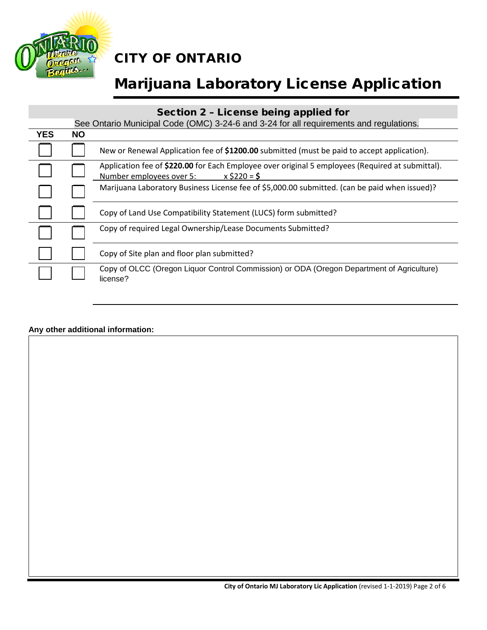

# Marijuana Laboratory License Application

### Section 2 – License being applied for

|            | See Ontario Municipal Code (OMC) 3-24-6 and 3-24 for all requirements and regulations. |                                                                                                                                                |  |  |  |
|------------|----------------------------------------------------------------------------------------|------------------------------------------------------------------------------------------------------------------------------------------------|--|--|--|
| <b>YES</b> | <b>NO</b>                                                                              |                                                                                                                                                |  |  |  |
|            |                                                                                        | New or Renewal Application fee of \$1200.00 submitted (must be paid to accept application).                                                    |  |  |  |
|            |                                                                                        | Application fee of \$220.00 for Each Employee over original 5 employees (Required at submittal).<br>Number employees over 5:<br>$x$ \$220 = \$ |  |  |  |
|            |                                                                                        | Marijuana Laboratory Business License fee of \$5,000.00 submitted. (can be paid when issued)?                                                  |  |  |  |
|            |                                                                                        | Copy of Land Use Compatibility Statement (LUCS) form submitted?                                                                                |  |  |  |
|            |                                                                                        | Copy of required Legal Ownership/Lease Documents Submitted?                                                                                    |  |  |  |
|            |                                                                                        | Copy of Site plan and floor plan submitted?                                                                                                    |  |  |  |
|            |                                                                                        | Copy of OLCC (Oregon Liquor Control Commission) or ODA (Oregon Department of Agriculture)<br>license?                                          |  |  |  |

#### **Any other additional information:**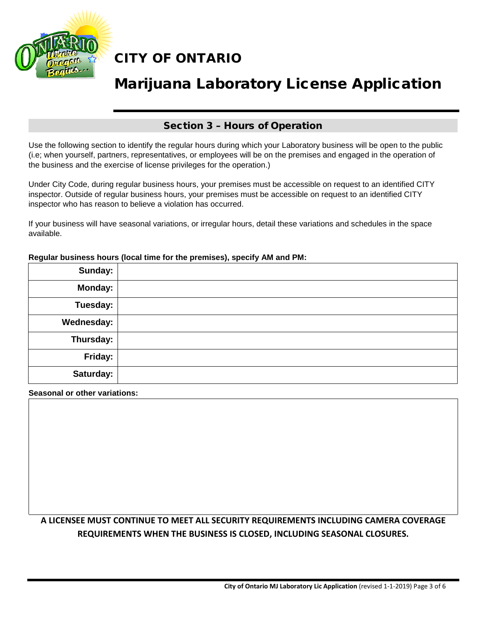

# Marijuana Laboratory License Application

### Section 3 – Hours of Operation

Use the following section to identify the regular hours during which your Laboratory business will be open to the public (i.e; when yourself, partners, representatives, or employees will be on the premises and engaged in the operation of the business and the exercise of license privileges for the operation.)

Under City Code, during regular business hours, your premises must be accessible on request to an identified CITY inspector. Outside of regular business hours, your premises must be accessible on request to an identified CITY inspector who has reason to believe a violation has occurred.

If your business will have seasonal variations, or irregular hours, detail these variations and schedules in the space available.

| Sunday:        |  |
|----------------|--|
| <b>Monday:</b> |  |
| Tuesday:       |  |
| Wednesday:     |  |
| Thursday:      |  |
| Friday:        |  |
| Saturday:      |  |

#### **Regular business hours (local time for the premises), specify AM and PM:**

**Seasonal or other variations:**

### **A LICENSEE MUST CONTINUE TO MEET ALL SECURITY REQUIREMENTS INCLUDING CAMERA COVERAGE REQUIREMENTS WHEN THE BUSINESS IS CLOSED, INCLUDING SEASONAL CLOSURES.**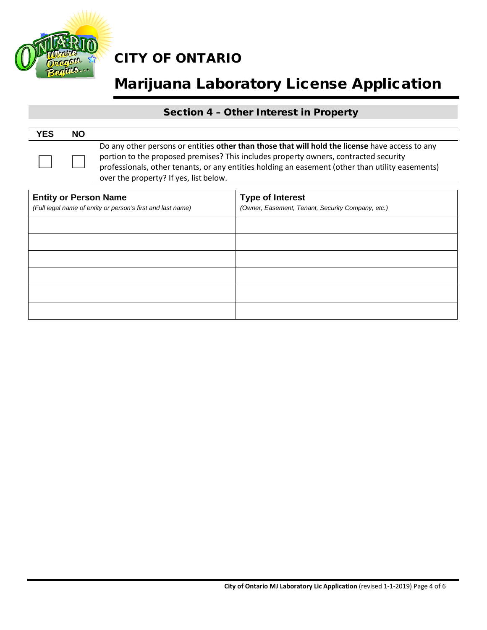

# Marijuana Laboratory License Application

### Section 4 – Other Interest in Property

| <b>YES</b> | <b>NO</b> |                                                                                                                                                                                                                                                                                                                                       |
|------------|-----------|---------------------------------------------------------------------------------------------------------------------------------------------------------------------------------------------------------------------------------------------------------------------------------------------------------------------------------------|
|            |           | Do any other persons or entities other than those that will hold the license have access to any<br>portion to the proposed premises? This includes property owners, contracted security<br>professionals, other tenants, or any entities holding an easement (other than utility easements)<br>over the property? If yes, list below. |

| <b>Entity or Person Name</b><br>(Full legal name of entity or person's first and last name) | <b>Type of Interest</b><br>(Owner, Easement, Tenant, Security Company, etc.) |
|---------------------------------------------------------------------------------------------|------------------------------------------------------------------------------|
|                                                                                             |                                                                              |
|                                                                                             |                                                                              |
|                                                                                             |                                                                              |
|                                                                                             |                                                                              |
|                                                                                             |                                                                              |
|                                                                                             |                                                                              |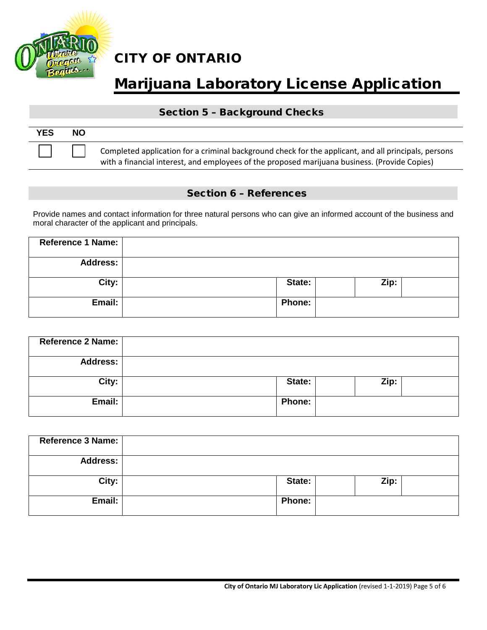

# Marijuana Laboratory License Application

### Section 5 – Background Checks

| <b>YES</b> | NΟ |                                                                                                                                                                                                       |
|------------|----|-------------------------------------------------------------------------------------------------------------------------------------------------------------------------------------------------------|
|            |    | Completed application for a criminal background check for the applicant, and all principals, persons<br>with a financial interest, and employees of the proposed marijuana business. (Provide Copies) |

### Section 6 – References

Provide names and contact information for three natural persons who can give an informed account of the business and moral character of the applicant and principals.

| Reference 1 Name: |               |      |  |
|-------------------|---------------|------|--|
| <b>Address:</b>   |               |      |  |
| City:             | State:        | Zip: |  |
| Email:            | <b>Phone:</b> |      |  |

| Reference 2 Name: |               |      |
|-------------------|---------------|------|
| <b>Address:</b>   |               |      |
| City:             | State:        | Zip: |
| Email:            | <b>Phone:</b> |      |

| <b>Reference 3 Name:</b> |               |      |
|--------------------------|---------------|------|
| <b>Address:</b>          |               |      |
| City:                    | State:        | Zip: |
| Email:                   | <b>Phone:</b> |      |